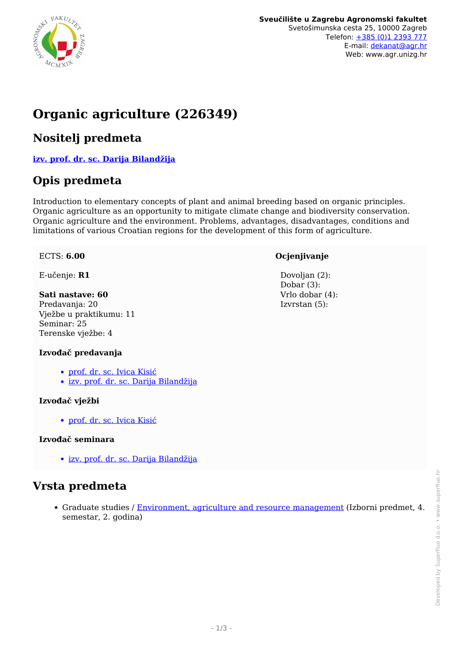

# **Organic agriculture (226349)**

### **Nositelj predmeta**

**[izv. prof. dr. sc. Darija Bilandžija](/hr/member/180)**

### **Opis predmeta**

Introduction to elementary concepts of plant and animal breeding based on organic principles. Organic agriculture as an opportunity to mitigate climate change and biodiversity conservation. Organic agriculture and the environment. Problems, advantages, disadvantages, conditions and limitations of various Croatian regions for the development of this form of agriculture.

#### ECTS: **6.00**

E-učenje: **R1**

#### **Sati nastave: 60**

Predavanja: 20 Vježbe u praktikumu: 11 Seminar: 25 Terenske vježbe: 4

#### **Izvođač predavanja**

- [prof. dr. sc. Ivica Kisić](/hr/member/26)
- [izv. prof. dr. sc. Darija Bilandžija](/hr/member/180)

#### **Izvođač vježbi**

[prof. dr. sc. Ivica Kisić](/hr/member/26)

#### **Izvođač seminara**

[izv. prof. dr. sc. Darija Bilandžija](/hr/member/180)

### **Vrsta predmeta**

Graduate studies / [Environment, agriculture and resource management](/hr/study/en/3/Environment%2C+agriculture+and+resource+management) (Izborni predmet, 4. semestar, 2. godina)

#### **Ocjenjivanje**

Dovolian (2): Dobar (3): Vrlo dobar (4): Izvrstan (5):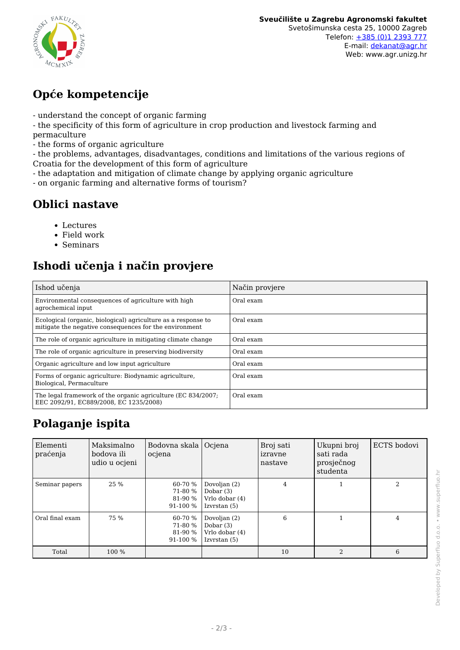

## **Opće kompetencije**

- understand the concept of organic farming
- the specificity of this form of agriculture in crop production and livestock farming and
- permaculture
- the forms of organic agriculture

- the problems, advantages, disadvantages, conditions and limitations of the various regions of Croatia for the development of this form of agriculture

- the adaptation and mitigation of climate change by applying organic agriculture
- on organic farming and alternative forms of tourism?

### **Oblici nastave**

- Lectures
- Field work
- Seminars

## **Ishodi učenja i način provjere**

| Ishod učenja                                                                                                            | Način provjere |
|-------------------------------------------------------------------------------------------------------------------------|----------------|
| Environmental consequences of agriculture with high<br>agrochemical input                                               | Oral exam      |
| Ecological (organic, biological) agriculture as a response to<br>mitigate the negative consequences for the environment | Oral exam      |
| The role of organic agriculture in mitigating climate change                                                            | Oral exam      |
| The role of organic agriculture in preserving biodiversity                                                              | Oral exam      |
| Organic agriculture and low input agriculture                                                                           | Oral exam      |
| Forms of organic agriculture: Biodynamic agriculture.<br>Biological, Permaculture                                       | Oral exam      |
| The legal framework of the organic agriculture (EC 834/2007;<br>EEC 2092/91. EC889/2008. EC 1235/2008)                  | Oral exam      |

## **Polaganje ispita**

| Elementi<br>praćenja | Maksimalno<br>bodova ili<br>udio u ocjeni | Bodovna skala  <br>ocjena                 | Ociena                                                        | Broj sati<br>izravne<br>nastave | Ukupni broj<br>sati rada<br>prosječnog<br>studenta | ECTS bodovi |
|----------------------|-------------------------------------------|-------------------------------------------|---------------------------------------------------------------|---------------------------------|----------------------------------------------------|-------------|
| Seminar papers       | 25 %                                      | 60-70 %<br>71-80 %<br>81-90 %<br>91-100 % | Dovoljan (2)<br>Dobar $(3)$<br>Vrlo dobar (4)<br>Izvrstan (5) | 4                               |                                                    | 2           |
| Oral final exam      | 75 %                                      | 60-70 %<br>71-80 %<br>81-90 %<br>91-100 % | Dovoljan (2)<br>Dobar $(3)$<br>Vrlo dobar (4)<br>Izvrstan (5) | 6                               |                                                    | 4           |
| Total                | 100 %                                     |                                           |                                                               | 10                              | $\overline{2}$                                     | 6           |